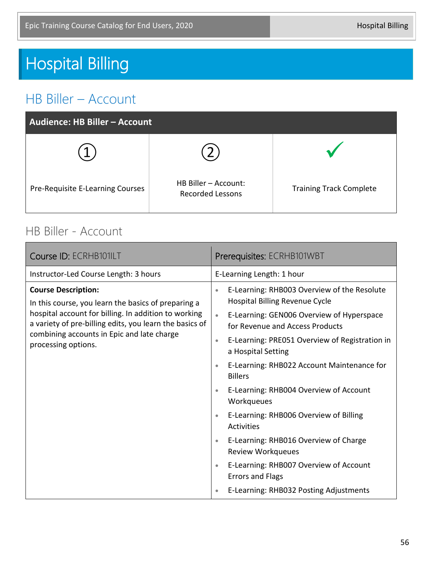# Hospital Billing

### HB Biller – Account

| Audience: HB Biller - Account    |                                                 |                                |
|----------------------------------|-------------------------------------------------|--------------------------------|
|                                  |                                                 |                                |
| Pre-Requisite E-Learning Courses | HB Biller - Account:<br><b>Recorded Lessons</b> | <b>Training Track Complete</b> |

#### HB Biller - Account

| Course ID: ECRHB101ILT                                                                                                                                                                                                                                                    | Prerequisites: ECRHB101WBT                                                                                                                                                                                                                                                                                                                                                                                                                                                                                                                                                                                                                                                                                                                   |
|---------------------------------------------------------------------------------------------------------------------------------------------------------------------------------------------------------------------------------------------------------------------------|----------------------------------------------------------------------------------------------------------------------------------------------------------------------------------------------------------------------------------------------------------------------------------------------------------------------------------------------------------------------------------------------------------------------------------------------------------------------------------------------------------------------------------------------------------------------------------------------------------------------------------------------------------------------------------------------------------------------------------------------|
| Instructor-Led Course Length: 3 hours                                                                                                                                                                                                                                     | E-Learning Length: 1 hour                                                                                                                                                                                                                                                                                                                                                                                                                                                                                                                                                                                                                                                                                                                    |
| <b>Course Description:</b><br>In this course, you learn the basics of preparing a<br>hospital account for billing. In addition to working<br>a variety of pre-billing edits, you learn the basics of<br>combining accounts in Epic and late charge<br>processing options. | E-Learning: RHB003 Overview of the Resolute<br>$\bullet$<br><b>Hospital Billing Revenue Cycle</b><br>E-Learning: GEN006 Overview of Hyperspace<br>$\bullet$<br>for Revenue and Access Products<br>E-Learning: PRE051 Overview of Registration in<br>$\bullet$<br>a Hospital Setting<br>E-Learning: RHB022 Account Maintenance for<br>$\bullet$<br><b>Billers</b><br>E-Learning: RHB004 Overview of Account<br>$\bullet$<br>Workqueues<br>E-Learning: RHB006 Overview of Billing<br>$\bullet$<br><b>Activities</b><br>E-Learning: RHB016 Overview of Charge<br>$\bullet$<br><b>Review Workqueues</b><br>E-Learning: RHB007 Overview of Account<br>$\bullet$<br><b>Errors and Flags</b><br>E-Learning: RHB032 Posting Adjustments<br>$\bullet$ |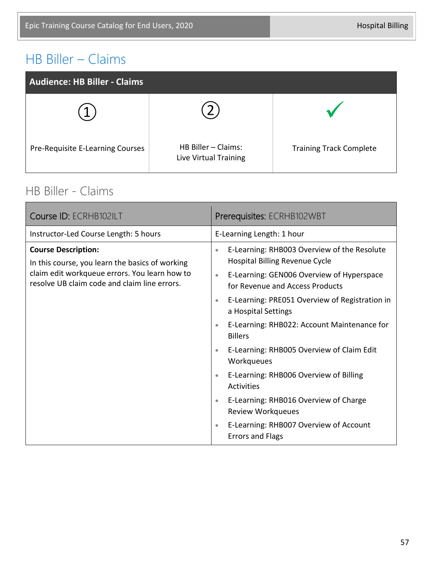## HB Biller – Claims

| <b>Audience: HB Biller - Claims</b> |                                              |                                |
|-------------------------------------|----------------------------------------------|--------------------------------|
|                                     |                                              |                                |
| Pre-Requisite E-Learning Courses    | HB Biller - Claims:<br>Live Virtual Training | <b>Training Track Complete</b> |

#### HB Biller - Claims

| Course ID: ECRHB102ILT                                                                                                                                                         | Prerequisites: ECRHB102WBT                                                                                                                                                                                                                                                                                                                                                                                                                                                                                                                                                                                                                                                                 |
|--------------------------------------------------------------------------------------------------------------------------------------------------------------------------------|--------------------------------------------------------------------------------------------------------------------------------------------------------------------------------------------------------------------------------------------------------------------------------------------------------------------------------------------------------------------------------------------------------------------------------------------------------------------------------------------------------------------------------------------------------------------------------------------------------------------------------------------------------------------------------------------|
| Instructor-Led Course Length: 5 hours                                                                                                                                          | E-Learning Length: 1 hour                                                                                                                                                                                                                                                                                                                                                                                                                                                                                                                                                                                                                                                                  |
| <b>Course Description:</b><br>In this course, you learn the basics of working<br>claim edit workqueue errors. You learn how to<br>resolve UB claim code and claim line errors. | E-Learning: RHB003 Overview of the Resolute<br>$\bullet$<br><b>Hospital Billing Revenue Cycle</b><br>E-Learning: GEN006 Overview of Hyperspace<br>$\bullet$<br>for Revenue and Access Products<br>E-Learning: PRE051 Overview of Registration in<br>$\bullet$<br>a Hospital Settings<br>E-Learning: RHB022: Account Maintenance for<br>$\bullet$<br><b>Billers</b><br>E-Learning: RHB005 Overview of Claim Edit<br>$\bullet$<br>Workqueues<br>E-Learning: RHB006 Overview of Billing<br>$\bullet$<br><b>Activities</b><br>E-Learning: RHB016 Overview of Charge<br>$\bullet$<br><b>Review Workqueues</b><br>E-Learning: RHB007 Overview of Account<br>$\bullet$<br><b>Errors and Flags</b> |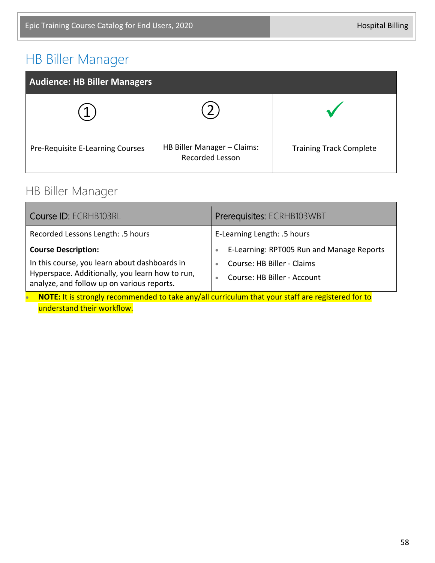# HB Biller Manager

| <b>Audience: HB Biller Managers</b> |                                                |                                |
|-------------------------------------|------------------------------------------------|--------------------------------|
|                                     |                                                |                                |
| Pre-Requisite E-Learning Courses    | HB Biller Manager - Claims:<br>Recorded Lesson | <b>Training Track Complete</b> |

#### HB Biller Manager

| Course ID: ECRHB103RL                                                                                                                          | Prerequisites: ECRHB103WBT                                |
|------------------------------------------------------------------------------------------------------------------------------------------------|-----------------------------------------------------------|
| Recorded Lessons Length: .5 hours                                                                                                              | E-Learning Length: .5 hours                               |
| <b>Course Description:</b>                                                                                                                     | E-Learning: RPT005 Run and Manage Reports                 |
| In this course, you learn about dashboards in<br>Hyperspace. Additionally, you learn how to run,<br>analyze, and follow up on various reports. | Course: HB Biller - Claims<br>Course: HB Biller - Account |

**• NOTE:** It is strongly recommended to take any/all curriculum that your staff are registered for to understand their workflow.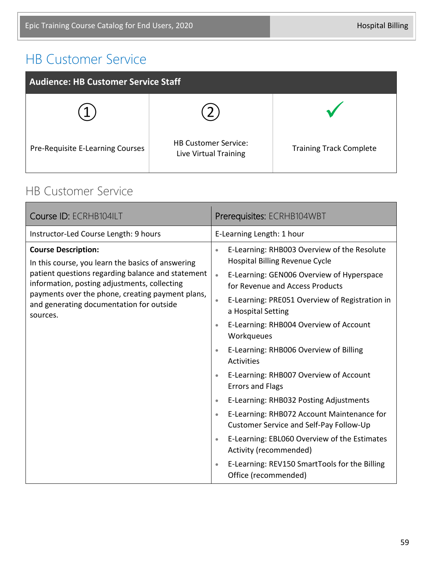# HB Customer Service

| <b>Audience: HB Customer Service Staff</b> |                                                      |                                |
|--------------------------------------------|------------------------------------------------------|--------------------------------|
|                                            |                                                      |                                |
| Pre-Requisite E-Learning Courses           | <b>HB Customer Service:</b><br>Live Virtual Training | <b>Training Track Complete</b> |

### HB Customer Service

| Course ID: ECRHB104ILT                                                                                                                                                                                                                                                                           | Prerequisites: ECRHB104WBT                                                                                                                                                                                                                                                                                                                                                                                                                                                                                                                                                                                                                                                                                                                                                                                                                          |
|--------------------------------------------------------------------------------------------------------------------------------------------------------------------------------------------------------------------------------------------------------------------------------------------------|-----------------------------------------------------------------------------------------------------------------------------------------------------------------------------------------------------------------------------------------------------------------------------------------------------------------------------------------------------------------------------------------------------------------------------------------------------------------------------------------------------------------------------------------------------------------------------------------------------------------------------------------------------------------------------------------------------------------------------------------------------------------------------------------------------------------------------------------------------|
| Instructor-Led Course Length: 9 hours                                                                                                                                                                                                                                                            | E-Learning Length: 1 hour                                                                                                                                                                                                                                                                                                                                                                                                                                                                                                                                                                                                                                                                                                                                                                                                                           |
| <b>Course Description:</b><br>In this course, you learn the basics of answering<br>patient questions regarding balance and statement<br>information, posting adjustments, collecting<br>payments over the phone, creating payment plans,<br>and generating documentation for outside<br>sources. | E-Learning: RHB003 Overview of the Resolute<br>$\bullet$<br><b>Hospital Billing Revenue Cycle</b><br>E-Learning: GEN006 Overview of Hyperspace<br>$\bullet$<br>for Revenue and Access Products<br>E-Learning: PRE051 Overview of Registration in<br>$\bullet$<br>a Hospital Setting<br>E-Learning: RHB004 Overview of Account<br>$\bullet$<br>Workqueues<br>E-Learning: RHB006 Overview of Billing<br>$\bullet$<br><b>Activities</b><br>E-Learning: RHB007 Overview of Account<br><b>Errors and Flags</b><br>E-Learning: RHB032 Posting Adjustments<br>$\bullet$<br>E-Learning: RHB072 Account Maintenance for<br>$\bullet$<br>Customer Service and Self-Pay Follow-Up<br>E-Learning: EBL060 Overview of the Estimates<br>$\bullet$<br>Activity (recommended)<br>E-Learning: REV150 SmartTools for the Billing<br>$\bullet$<br>Office (recommended) |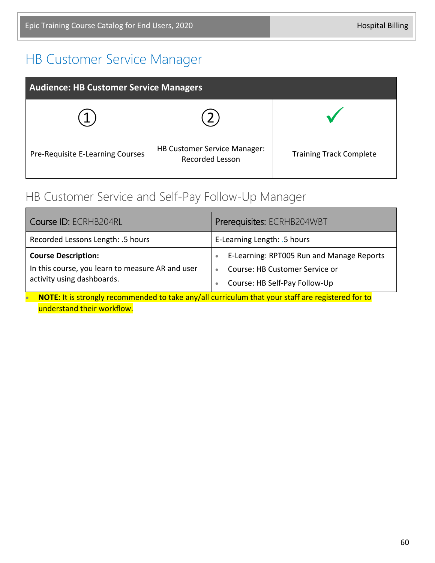## HB Customer Service Manager

| <b>Audience: HB Customer Service Managers</b> |                                                        |                                |
|-----------------------------------------------|--------------------------------------------------------|--------------------------------|
|                                               |                                                        |                                |
| Pre-Requisite E-Learning Courses              | <b>HB Customer Service Manager:</b><br>Recorded Lesson | <b>Training Track Complete</b> |

#### HB Customer Service and Self-Pay Follow-Up Manager

| Course ID: ECRHB204RL                                                          | Prerequisites: ECRHB204WBT                |
|--------------------------------------------------------------------------------|-------------------------------------------|
| Recorded Lessons Length: .5 hours                                              | E-Learning Length: .5 hours               |
| <b>Course Description:</b>                                                     | E-Learning: RPT005 Run and Manage Reports |
| In this course, you learn to measure AR and user<br>activity using dashboards. | Course: HB Customer Service or            |
|                                                                                | Course: HB Self-Pay Follow-Up             |

**• NOTE:** It is strongly recommended to take any/all curriculum that your staff are registered for to understand their workflow.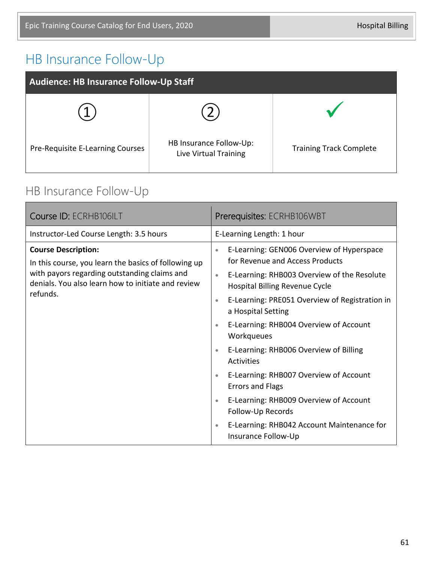# HB Insurance Follow-Up

| <b>Audience: HB Insurance Follow-Up Staff</b> |                                                  |                                |
|-----------------------------------------------|--------------------------------------------------|--------------------------------|
|                                               |                                                  |                                |
| Pre-Requisite E-Learning Courses              | HB Insurance Follow-Up:<br>Live Virtual Training | <b>Training Track Complete</b> |

## HB Insurance Follow-Up

| Course ID: ECRHB106ILT                                                                                                                                                                               | Prerequisites: ECRHB106WBT                                                                                                                                                                                                                                                                                                                                                                                                                                                                                                                                                                                                                                                    |
|------------------------------------------------------------------------------------------------------------------------------------------------------------------------------------------------------|-------------------------------------------------------------------------------------------------------------------------------------------------------------------------------------------------------------------------------------------------------------------------------------------------------------------------------------------------------------------------------------------------------------------------------------------------------------------------------------------------------------------------------------------------------------------------------------------------------------------------------------------------------------------------------|
| Instructor-Led Course Length: 3.5 hours                                                                                                                                                              | E-Learning Length: 1 hour                                                                                                                                                                                                                                                                                                                                                                                                                                                                                                                                                                                                                                                     |
| <b>Course Description:</b><br>In this course, you learn the basics of following up<br>with payors regarding outstanding claims and<br>denials. You also learn how to initiate and review<br>refunds. | E-Learning: GEN006 Overview of Hyperspace<br>$\bullet$<br>for Revenue and Access Products<br>E-Learning: RHB003 Overview of the Resolute<br>$\bullet$<br><b>Hospital Billing Revenue Cycle</b><br>E-Learning: PRE051 Overview of Registration in<br>$\bullet$<br>a Hospital Setting<br>E-Learning: RHB004 Overview of Account<br>$\bullet$<br>Workqueues<br>E-Learning: RHB006 Overview of Billing<br>$\bullet$<br>Activities<br>E-Learning: RHB007 Overview of Account<br>$\bullet$<br><b>Errors and Flags</b><br>E-Learning: RHB009 Overview of Account<br>$\bullet$<br>Follow-Up Records<br>E-Learning: RHB042 Account Maintenance for<br>$\bullet$<br>Insurance Follow-Up |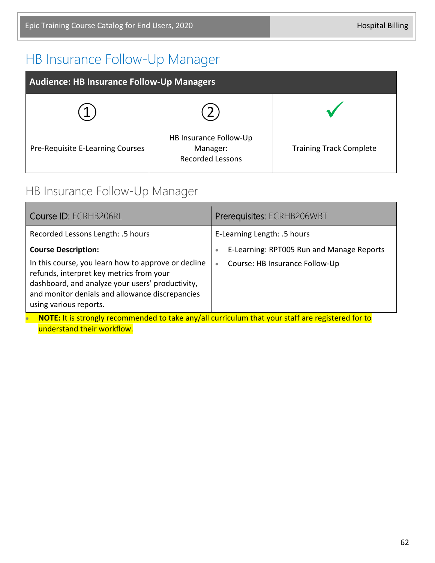## HB Insurance Follow-Up Manager

| <b>Audience: HB Insurance Follow-Up Managers</b> |                                                               |                                |
|--------------------------------------------------|---------------------------------------------------------------|--------------------------------|
|                                                  |                                                               |                                |
| Pre-Requisite E-Learning Courses                 | HB Insurance Follow-Up<br>Manager:<br><b>Recorded Lessons</b> | <b>Training Track Complete</b> |

### HB Insurance Follow-Up Manager

| Course ID: ECRHB206RL                                                                                                                                                                                                                                          | Prerequisites: ECRHB206WBT                                                                            |
|----------------------------------------------------------------------------------------------------------------------------------------------------------------------------------------------------------------------------------------------------------------|-------------------------------------------------------------------------------------------------------|
| Recorded Lessons Length: .5 hours                                                                                                                                                                                                                              | E-Learning Length: .5 hours                                                                           |
| <b>Course Description:</b><br>In this course, you learn how to approve or decline<br>refunds, interpret key metrics from your<br>dashboard, and analyze your users' productivity,<br>and monitor denials and allowance discrepancies<br>using various reports. | E-Learning: RPT005 Run and Manage Reports<br>$\bullet$<br>Course: HB Insurance Follow-Up<br>$\bullet$ |
| NOTE: It is strongly recommended to take any/all curriculum that your staff are registered for to                                                                                                                                                              |                                                                                                       |

understand their workflow.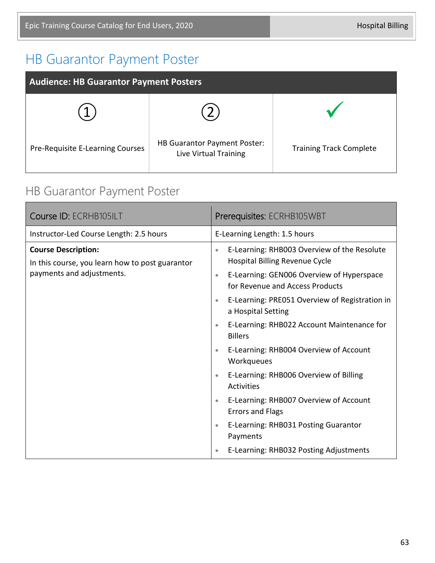# HB Guarantor Payment Poster

| <b>Audience: HB Guarantor Payment Posters</b> |                                                              |                                |
|-----------------------------------------------|--------------------------------------------------------------|--------------------------------|
|                                               |                                                              |                                |
| Pre-Requisite E-Learning Courses              | <b>HB Guarantor Payment Poster:</b><br>Live Virtual Training | <b>Training Track Complete</b> |

### HB Guarantor Payment Poster

| Course ID: ECRHB105ILT                                                        | Prerequisites: ECRHB105WBT                                                                        |
|-------------------------------------------------------------------------------|---------------------------------------------------------------------------------------------------|
| Instructor-Led Course Length: 2.5 hours                                       | E-Learning Length: 1.5 hours                                                                      |
| <b>Course Description:</b><br>In this course, you learn how to post guarantor | E-Learning: RHB003 Overview of the Resolute<br>$\bullet$<br><b>Hospital Billing Revenue Cycle</b> |
| payments and adjustments.                                                     | E-Learning: GEN006 Overview of Hyperspace<br>$\bullet$<br>for Revenue and Access Products         |
|                                                                               | E-Learning: PRE051 Overview of Registration in<br>$\bullet$<br>a Hospital Setting                 |
|                                                                               | E-Learning: RHB022 Account Maintenance for<br>$\bullet$<br><b>Billers</b>                         |
|                                                                               | E-Learning: RHB004 Overview of Account<br>$\bullet$<br>Workqueues                                 |
|                                                                               | E-Learning: RHB006 Overview of Billing<br>$\bullet$<br><b>Activities</b>                          |
|                                                                               | E-Learning: RHB007 Overview of Account<br>$\bullet$<br><b>Errors and Flags</b>                    |
|                                                                               | E-Learning: RHB031 Posting Guarantor<br>$\bullet$<br>Payments                                     |
|                                                                               | E-Learning: RHB032 Posting Adjustments<br>$\bullet$                                               |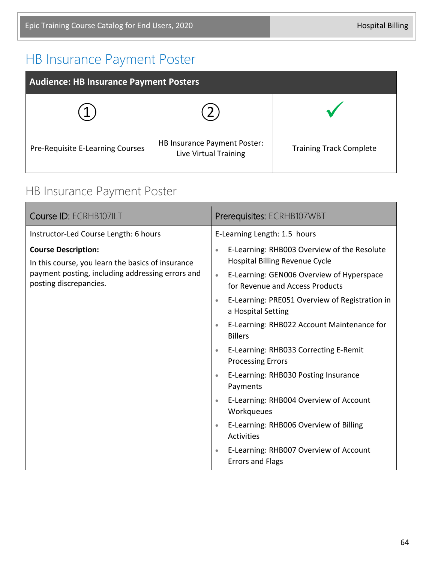# HB Insurance Payment Poster

| <b>Audience: HB Insurance Payment Posters</b> |                                                       |                                |
|-----------------------------------------------|-------------------------------------------------------|--------------------------------|
|                                               |                                                       |                                |
| Pre-Requisite E-Learning Courses              | HB Insurance Payment Poster:<br>Live Virtual Training | <b>Training Track Complete</b> |

### HB Insurance Payment Poster

| Course ID: ECRHB107ILT                                                                                                                                        | Prerequisites: ECRHB107WBT                                                                                                                                                                                                                                                                                                                                                                                                                                                                                                                                                                                                                                                                                                                      |  |
|---------------------------------------------------------------------------------------------------------------------------------------------------------------|-------------------------------------------------------------------------------------------------------------------------------------------------------------------------------------------------------------------------------------------------------------------------------------------------------------------------------------------------------------------------------------------------------------------------------------------------------------------------------------------------------------------------------------------------------------------------------------------------------------------------------------------------------------------------------------------------------------------------------------------------|--|
| Instructor-Led Course Length: 6 hours                                                                                                                         | E-Learning Length: 1.5 hours                                                                                                                                                                                                                                                                                                                                                                                                                                                                                                                                                                                                                                                                                                                    |  |
| <b>Course Description:</b><br>In this course, you learn the basics of insurance<br>payment posting, including addressing errors and<br>posting discrepancies. | E-Learning: RHB003 Overview of the Resolute<br>$\bullet$<br>Hospital Billing Revenue Cycle<br>E-Learning: GEN006 Overview of Hyperspace<br>$\bullet$<br>for Revenue and Access Products<br>E-Learning: PRE051 Overview of Registration in<br>$\bullet$<br>a Hospital Setting<br>E-Learning: RHB022 Account Maintenance for<br>$\bullet$<br><b>Billers</b><br>E-Learning: RHB033 Correcting E-Remit<br>$\bullet$<br><b>Processing Errors</b><br>E-Learning: RHB030 Posting Insurance<br>$\bullet$<br>Payments<br>E-Learning: RHB004 Overview of Account<br>$\bullet$<br>Workqueues<br>E-Learning: RHB006 Overview of Billing<br>$\bullet$<br><b>Activities</b><br>E-Learning: RHB007 Overview of Account<br>$\bullet$<br><b>Errors and Flags</b> |  |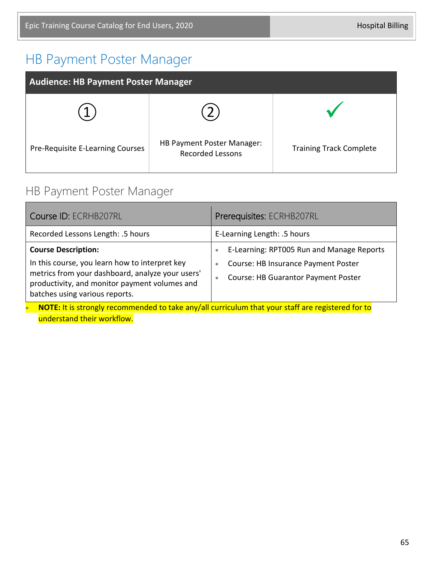### HB Payment Poster Manager

| <b>Audience: HB Payment Poster Manager</b> |                                                              |                                |
|--------------------------------------------|--------------------------------------------------------------|--------------------------------|
|                                            |                                                              |                                |
| Pre-Requisite E-Learning Courses           | <b>HB Payment Poster Manager:</b><br><b>Recorded Lessons</b> | <b>Training Track Complete</b> |

#### HB Payment Poster Manager

| Recorded Lessons Length: .5 hours<br>E-Learning Length: .5 hours<br>E-Learning: RPT005 Run and Manage Reports<br><b>Course Description:</b><br>$\bullet$<br>In this course, you learn how to interpret key<br>Course: HB Insurance Payment Poster<br>$\bullet$<br>metrics from your dashboard, analyze your users'<br><b>Course: HB Guarantor Payment Poster</b><br>$\bullet$<br>productivity, and monitor payment volumes and<br>batches using various reports. | Course ID: ECRHB207RL | Prerequisites: ECRHB207RL |  |
|------------------------------------------------------------------------------------------------------------------------------------------------------------------------------------------------------------------------------------------------------------------------------------------------------------------------------------------------------------------------------------------------------------------------------------------------------------------|-----------------------|---------------------------|--|
|                                                                                                                                                                                                                                                                                                                                                                                                                                                                  |                       |                           |  |
|                                                                                                                                                                                                                                                                                                                                                                                                                                                                  |                       |                           |  |

• **NOTE:** It is strongly recommended to take any/all curriculum that your staff are registered for to understand their workflow.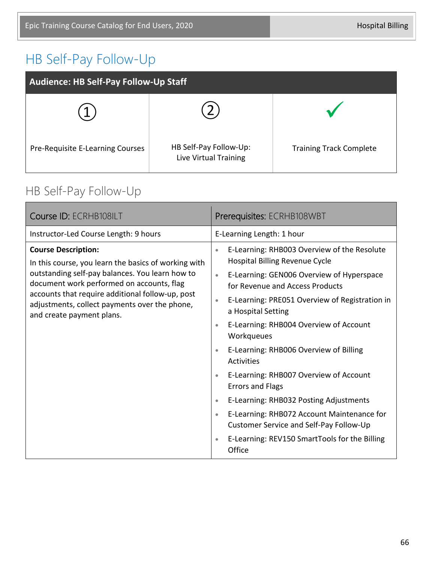# HB Self-Pay Follow-Up

| <b>Audience: HB Self-Pay Follow-Up Staff</b> |                                                 |                                |
|----------------------------------------------|-------------------------------------------------|--------------------------------|
|                                              |                                                 |                                |
| Pre-Requisite E-Learning Courses             | HB Self-Pay Follow-Up:<br>Live Virtual Training | <b>Training Track Complete</b> |

## HB Self-Pay Follow-Up

| Course ID: ECRHB108ILT                                                                                                                                                                                                                                                                                               | Prerequisites: ECRHB108WBT                                                                                                                                                                                                                                                                                                                                                                                                                                                                                                                                                                                                                                                                                                                           |  |
|----------------------------------------------------------------------------------------------------------------------------------------------------------------------------------------------------------------------------------------------------------------------------------------------------------------------|------------------------------------------------------------------------------------------------------------------------------------------------------------------------------------------------------------------------------------------------------------------------------------------------------------------------------------------------------------------------------------------------------------------------------------------------------------------------------------------------------------------------------------------------------------------------------------------------------------------------------------------------------------------------------------------------------------------------------------------------------|--|
| Instructor-Led Course Length: 9 hours                                                                                                                                                                                                                                                                                | E-Learning Length: 1 hour                                                                                                                                                                                                                                                                                                                                                                                                                                                                                                                                                                                                                                                                                                                            |  |
| <b>Course Description:</b><br>In this course, you learn the basics of working with<br>outstanding self-pay balances. You learn how to<br>document work performed on accounts, flag<br>accounts that require additional follow-up, post<br>adjustments, collect payments over the phone,<br>and create payment plans. | E-Learning: RHB003 Overview of the Resolute<br>$\bullet$<br>Hospital Billing Revenue Cycle<br>E-Learning: GEN006 Overview of Hyperspace<br>$\bullet$<br>for Revenue and Access Products<br>E-Learning: PRE051 Overview of Registration in<br>$\bullet$<br>a Hospital Setting<br>E-Learning: RHB004 Overview of Account<br>$\bullet$<br>Workqueues<br>E-Learning: RHB006 Overview of Billing<br>$\bullet$<br><b>Activities</b><br>E-Learning: RHB007 Overview of Account<br>$\bullet$<br><b>Errors and Flags</b><br>E-Learning: RHB032 Posting Adjustments<br>$\bullet$<br>E-Learning: RHB072 Account Maintenance for<br>$\bullet$<br>Customer Service and Self-Pay Follow-Up<br>E-Learning: REV150 SmartTools for the Billing<br>$\bullet$<br>Office |  |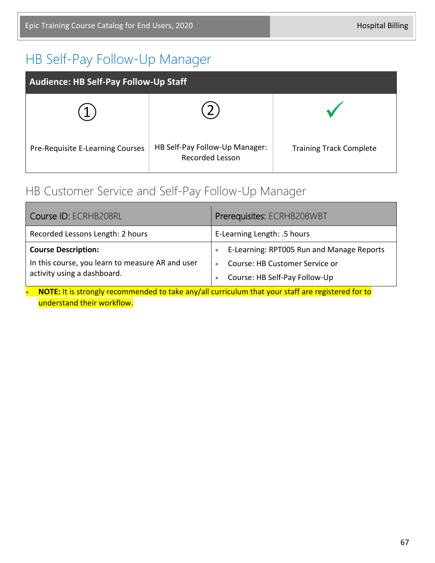## HB Self-Pay Follow-Up Manager

| Audience: HB Self-Pay Follow-Up Staff |                                                   |                                |
|---------------------------------------|---------------------------------------------------|--------------------------------|
|                                       |                                                   |                                |
| Pre-Requisite E-Learning Courses      | HB Self-Pay Follow-Up Manager:<br>Recorded Lesson | <b>Training Track Complete</b> |

### HB Customer Service and Self-Pay Follow-Up Manager

| Course ID: ECRHB208RL                                                                                         | Prerequisites: ECRHB208WBT                                                                                                                          |  |
|---------------------------------------------------------------------------------------------------------------|-----------------------------------------------------------------------------------------------------------------------------------------------------|--|
| Recorded Lessons Length: 2 hours                                                                              | E-Learning Length: .5 hours                                                                                                                         |  |
| <b>Course Description:</b><br>In this course, you learn to measure AR and user<br>activity using a dashboard. | E-Learning: RPT005 Run and Manage Reports<br>$\bullet$<br>Course: HB Customer Service or<br>$\bullet$<br>Course: HB Self-Pay Follow-Up<br>$\bullet$ |  |
| NOTE: It is strongly recommended to take any/all curriculum that your staff are registered for to             |                                                                                                                                                     |  |

understand their workflow.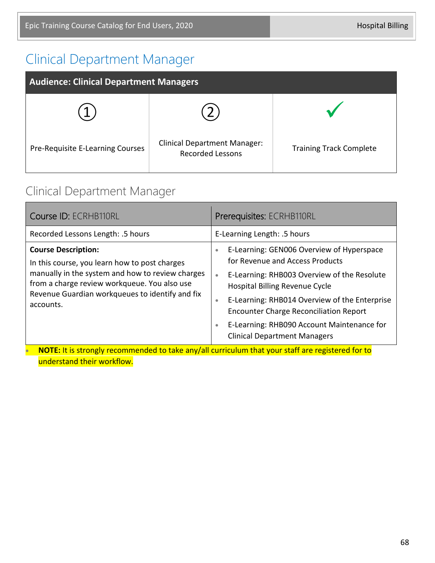# Clinical Department Manager

| <b>Audience: Clinical Department Managers</b> |                                                                |                                |  |  |
|-----------------------------------------------|----------------------------------------------------------------|--------------------------------|--|--|
|                                               |                                                                |                                |  |  |
| Pre-Requisite E-Learning Courses              | <b>Clinical Department Manager:</b><br><b>Recorded Lessons</b> | <b>Training Track Complete</b> |  |  |

### Clinical Department Manager

| Course ID: ECRHB110RL                                                                                                                                                                                                                           | Prerequisites: ECRHB110RL                                                                                                                                                                                                                                                                                                                                                                                       |  |
|-------------------------------------------------------------------------------------------------------------------------------------------------------------------------------------------------------------------------------------------------|-----------------------------------------------------------------------------------------------------------------------------------------------------------------------------------------------------------------------------------------------------------------------------------------------------------------------------------------------------------------------------------------------------------------|--|
| Recorded Lessons Length: .5 hours                                                                                                                                                                                                               | E-Learning Length: .5 hours                                                                                                                                                                                                                                                                                                                                                                                     |  |
| <b>Course Description:</b><br>In this course, you learn how to post charges<br>manually in the system and how to review charges<br>from a charge review workqueue. You also use<br>Revenue Guardian workqueues to identify and fix<br>accounts. | E-Learning: GEN006 Overview of Hyperspace<br>$\bullet$<br>for Revenue and Access Products<br>E-Learning: RHB003 Overview of the Resolute<br>$\bullet$<br><b>Hospital Billing Revenue Cycle</b><br>E-Learning: RHB014 Overview of the Enterprise<br>$\bullet$<br><b>Encounter Charge Reconciliation Report</b><br>E-Learning: RHB090 Account Maintenance for<br>$\bullet$<br><b>Clinical Department Managers</b> |  |
| NOTE: It is strongly recommended to take any/all curriculum that your staff are registered for to<br>understand their workflow.                                                                                                                 |                                                                                                                                                                                                                                                                                                                                                                                                                 |  |